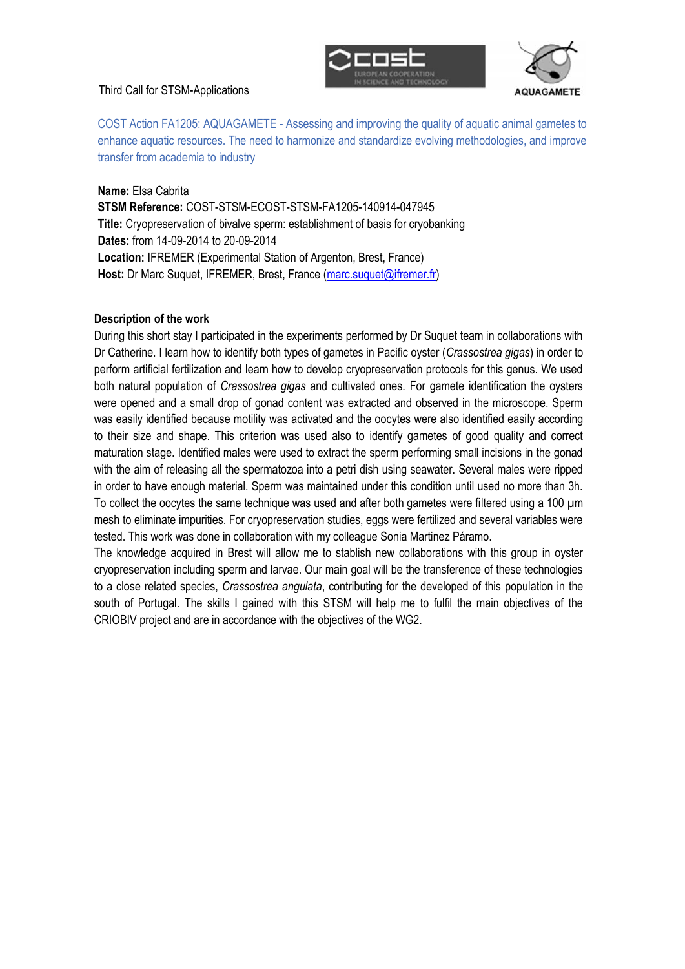## Third Call for STSM-Applications





COST Action FA1205: AQUAGAMETE - Assessing and improving the quality of aquatic animal gametes to enhance aquatic resources. The need to harmonize and standardize evolving methodologies, and improve transfer from academia to industry

## **Name:** Elsa Cabrita

**STSM Reference:** COST-STSM-ECOST-STSM-FA1205-140914-047945 **Title:** Cryopreservation of bivalve sperm: establishment of basis for cryobanking **Dates:** from 14-09-2014 to 20-09-2014 **Location:** IFREMER (Experimental Station of Argenton, Brest, France) Host: Dr Marc Suquet, IFREMER, Brest, France (marc.suquet@ifremer.fr)

## **Description of the work**

During this short stay I participated in the experiments performed by Dr Suquet team in collaborations with Dr Catherine. I learn how to identify both types of gametes in Pacific oyster (*Crassostrea gigas*) in order to perform artificial fertilization and learn how to develop cryopreservation protocols for this genus. We used both natural population of *Crassostrea gigas* and cultivated ones. For gamete identification the oysters were opened and a small drop of gonad content was extracted and observed in the microscope. Sperm was easily identified because motility was activated and the oocytes were also identified easily according to their size and shape. This criterion was used also to identify gametes of good quality and correct maturation stage. Identified males were used to extract the sperm performing small incisions in the gonad with the aim of releasing all the spermatozoa into a petri dish using seawater. Several males were ripped in order to have enough material. Sperm was maintained under this condition until used no more than 3h. To collect the oocytes the same technique was used and after both gametes were filtered using a 100 µm mesh to eliminate impurities. For cryopreservation studies, eggs were fertilized and several variables were tested. This work was done in collaboration with my colleague Sonia Martinez Páramo.

The knowledge acquired in Brest will allow me to stablish new collaborations with this group in oyster cryopreservation including sperm and larvae. Our main goal will be the transference of these technologies to a close related species, *Crassostrea angulata*, contributing for the developed of this population in the south of Portugal. The skills I gained with this STSM will help me to fulfil the main objectives of the CRIOBIV project and are in accordance with the objectives of the WG2.